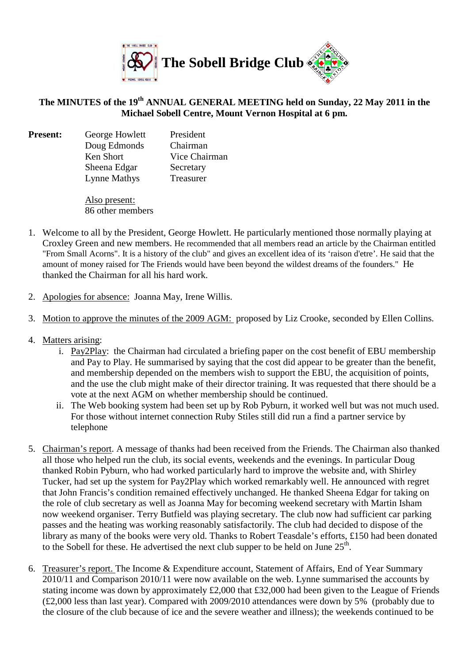

## **The MINUTES of the 19th ANNUAL GENERAL MEETING held on Sunday, 22 May 2011 in the Michael Sobell Centre, Mount Vernon Hospital at 6 pm.**

**Present:** George Howlett President Doug Edmonds Chairman Ken Short Vice Chairman Sheena Edgar Secretary Lynne Mathys Treasurer

> Also present: 86 other members

- 1. Welcome to all by the President, George Howlett. He particularly mentioned those normally playing at Croxley Green and new members. He recommended that all members read an article by the Chairman entitled "From Small Acorns". It is a history of the club" and gives an excellent idea of its 'raison d'etre'. He said that the amount of money raised for The Friends would have been beyond the wildest dreams of the founders." He thanked the Chairman for all his hard work.
- 2. Apologies for absence: Joanna May, Irene Willis.
- 3. Motion to approve the minutes of the 2009 AGM: proposed by Liz Crooke, seconded by Ellen Collins.
- 4. Matters arising:
	- i. Pay2Play: the Chairman had circulated a briefing paper on the cost benefit of EBU membership and Pay to Play. He summarised by saying that the cost did appear to be greater than the benefit, and membership depended on the members wish to support the EBU, the acquisition of points, and the use the club might make of their director training. It was requested that there should be a vote at the next AGM on whether membership should be continued.
	- ii. The Web booking system had been set up by Rob Pyburn, it worked well but was not much used. For those without internet connection Ruby Stiles still did run a find a partner service by telephone
- 5. Chairman's report. A message of thanks had been received from the Friends. The Chairman also thanked all those who helped run the club, its social events, weekends and the evenings. In particular Doug thanked Robin Pyburn, who had worked particularly hard to improve the website and, with Shirley Tucker, had set up the system for Pay2Play which worked remarkably well. He announced with regret that John Francis's condition remained effectively unchanged. He thanked Sheena Edgar for taking on the role of club secretary as well as Joanna May for becoming weekend secretary with Martin Isham now weekend organiser. Terry Butfield was playing secretary. The club now had sufficient car parking passes and the heating was working reasonably satisfactorily. The club had decided to dispose of the library as many of the books were very old. Thanks to Robert Teasdale's efforts, £150 had been donated to the Sobell for these. He advertised the next club supper to be held on June  $25<sup>th</sup>$ .
- 6. Treasurer's report. The [Income & Expenditure account, Statement of Affairs,](http://www.sobell-bridge.org.uk/AGMs/AGM2009/Income%20and%20Expenditure.pdf) End of Year Summary 2010/11 and Comparison 2010/11 were now available on the web. Lynne summarised the accounts by stating income was down by approximately £2,000 that £32,000 had been given to the League of Friends (£2,000 less than last year). Compared with 2009/2010 attendances were down by 5% (probably due to the closure of the club because of ice and the severe weather and illness); the weekends continued to be